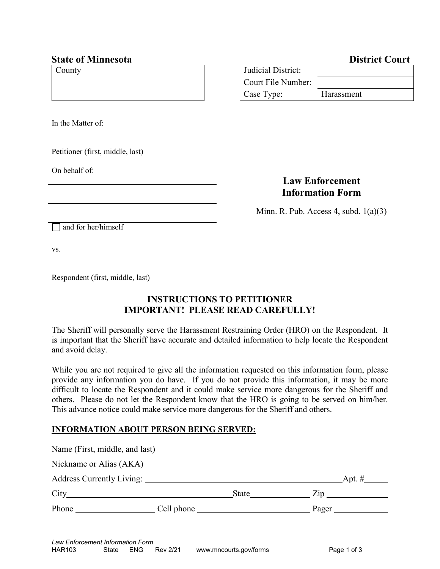## **State of Minnesota District Court**

| County | Judicial District: |            |
|--------|--------------------|------------|
|        | Court File Number: |            |
|        | Case Type:         | Harassment |

In the Matter of:

Petitioner (first, middle, last)

On behalf of:

# **Law Enforcement Information Form**

Minn. R. Pub. Access 4, subd.  $1(a)(3)$ 

and for her/himself

vs.

Respondent (first, middle, last)

# **INSTRUCTIONS TO PETITIONER IMPORTANT! PLEASE READ CAREFULLY!**

The Sheriff will personally serve the Harassment Restraining Order (HRO) on the Respondent. It is important that the Sheriff have accurate and detailed information to help locate the Respondent and avoid delay.

While you are not required to give all the information requested on this information form, please provide any information you do have. If you do not provide this information, it may be more difficult to locate the Respondent and it could make service more dangerous for the Sheriff and others. Please do not let the Respondent know that the HRO is going to be served on him/her. This advance notice could make service more dangerous for the Sheriff and others.

### **INFORMATION ABOUT PERSON BEING SERVED:**

| Name (First, middle, and last)                        |                                                                                                                                                                                                                                     |                                     |
|-------------------------------------------------------|-------------------------------------------------------------------------------------------------------------------------------------------------------------------------------------------------------------------------------------|-------------------------------------|
| Nickname or Alias (AKA)                               |                                                                                                                                                                                                                                     |                                     |
|                                                       |                                                                                                                                                                                                                                     | $\Delta$ pt. # $\frac{1}{\sqrt{2}}$ |
| City<br><u> 1980 - Andrea Andrew Maria (h. 1980).</u> | <b>State</b> State State State State State State State State State State State State State State State State State State State State State State State State State State State State State State State State State State State Stat | $\mathsf{Zip}$                      |
| Phone                                                 | Cell phone                                                                                                                                                                                                                          | Pager                               |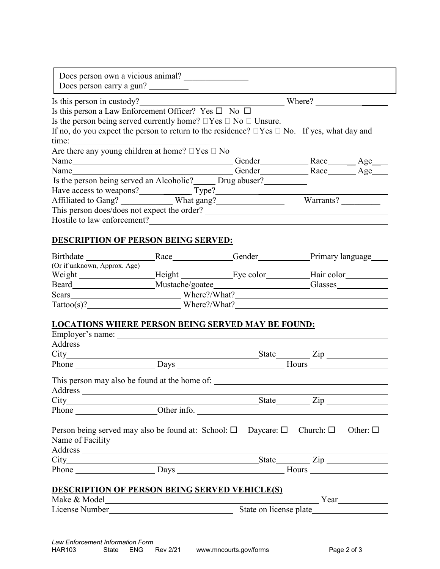|                                                                                                        | Is this person in custody?<br><u>Example 2</u> Where? |           |  |  |  |
|--------------------------------------------------------------------------------------------------------|-------------------------------------------------------|-----------|--|--|--|
| Is this person a Law Enforcement Officer? Yes $\square$ No $\square$                                   |                                                       |           |  |  |  |
| Is the person being served currently home? $\Box$ Yes $\Box$ No $\Box$ Unsure.                         |                                                       |           |  |  |  |
| If no, do you expect the person to return to the residence? $\Box$ Yes $\Box$ No. If yes, what day and |                                                       |           |  |  |  |
| time:                                                                                                  |                                                       |           |  |  |  |
| Are there any young children at home? $\Box$ Yes $\Box$ No                                             |                                                       |           |  |  |  |
|                                                                                                        |                                                       |           |  |  |  |
|                                                                                                        |                                                       |           |  |  |  |
| Is the person being served an Alcoholic? Drug abuser?                                                  |                                                       |           |  |  |  |
| Have access to weapons? Type? Type?                                                                    |                                                       |           |  |  |  |
| Affiliated to Gang? What gang?                                                                         |                                                       | Warrants? |  |  |  |
|                                                                                                        | This person does/does not expect the order?           |           |  |  |  |
|                                                                                                        |                                                       |           |  |  |  |

#### Birthdate Race Race Gender Primary language (Or if unknown, Approx. Age) Weight Height Eye color Hair color Beard Mustache/goatee Glasses Scars Where?/What? Tattoo(s)? Where?/What?

#### **LOCATIONS WHERE PERSON BEING SERVED MAY BE FOUND:**

|                                                      |                                                                                                                   |                             | $State$ $Zip$ |  |  |  |  |
|------------------------------------------------------|-------------------------------------------------------------------------------------------------------------------|-----------------------------|---------------|--|--|--|--|
|                                                      |                                                                                                                   |                             |               |  |  |  |  |
|                                                      | This person may also be found at the home of:                                                                     |                             |               |  |  |  |  |
|                                                      |                                                                                                                   |                             |               |  |  |  |  |
|                                                      |                                                                                                                   |                             | $State$ $Zip$ |  |  |  |  |
|                                                      | Phone Cherinfo.                                                                                                   |                             |               |  |  |  |  |
|                                                      |                                                                                                                   |                             |               |  |  |  |  |
|                                                      | Person being served may also be found at: School: $\square$ Daycare: $\square$ Church: $\square$ Other: $\square$ |                             |               |  |  |  |  |
|                                                      |                                                                                                                   |                             |               |  |  |  |  |
|                                                      |                                                                                                                   |                             |               |  |  |  |  |
|                                                      |                                                                                                                   |                             |               |  |  |  |  |
|                                                      |                                                                                                                   | Phone Days Days Hours Hours |               |  |  |  |  |
|                                                      |                                                                                                                   |                             |               |  |  |  |  |
| <b>DESCRIPTION OF PERSON BEING SERVED VEHICLE(S)</b> |                                                                                                                   |                             |               |  |  |  |  |
|                                                      |                                                                                                                   |                             |               |  |  |  |  |
|                                                      |                                                                                                                   | State on license plate      |               |  |  |  |  |
|                                                      |                                                                                                                   |                             |               |  |  |  |  |